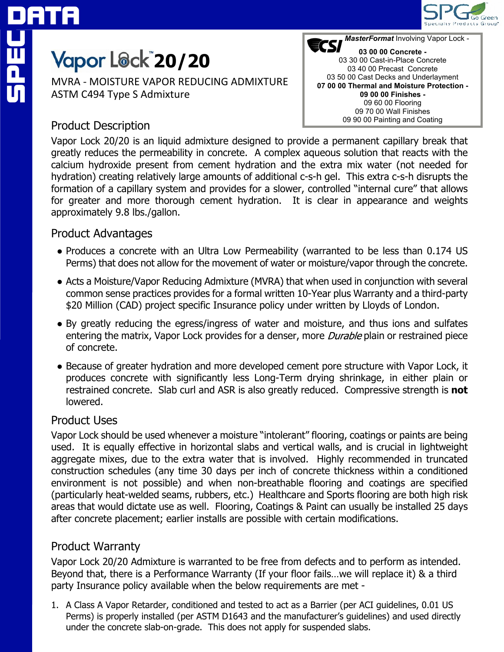

# **Yapor L@ck<sup>"</sup>20/20**

MVRA - MOISTURE VAPOR REDUCING ADMIXTURE ASTM C494 Type S Admixture

## Product Description

Vapor Lock 20/20 is an liquid admixture designed to provide a permanent capillary break that greatly reduces the permeability in concrete. A complex aqueous solution that reacts with the calcium hydroxide present from cement hydration and the extra mix water (not needed for hydration) creating relatively large amounts of additional c-s-h gel. This extra c-s-h disrupts the formation of a capillary system and provides for a slower, controlled "internal cure" that allows 09 60 00 Flooring 09 70 00 Wall Finishes 09 90 00 Painting and Coating

## Product Advantages

approximately 9.8 lbs./gallon.

• Produces a concrete with an Ultra Low Permeability (warranted to be less than 0.174 US Perms) that does not allow for the movement of water or moisture/vapor through the concrete.

for greater and more thorough cement hydration. It is clear in appearance and weights

- Acts a Moisture/Vapor Reducing Admixture (MVRA) that when used in conjunction with several common sense practices provides for a formal written 10-Year plus Warranty and a third-party \$20 Million (CAD) project specific Insurance policy under written by Lloyds of London.
- By greatly reducing the egress/ingress of water and moisture, and thus ions and sulfates entering the matrix, Vapor Lock provides for a denser, more *Durable* plain or restrained piece of concrete.
- Because of greater hydration and more developed cement pore structure with Vapor Lock, it produces concrete with significantly less Long-Term drying shrinkage, in either plain or restrained concrete. Slab curl and ASR is also greatly reduced. Compressive strength is **not** lowered.

## Product Uses

Vapor Lock should be used whenever a moisture "intolerant" flooring, coatings or paints are being used. It is equally effective in horizontal slabs and vertical walls, and is crucial in lightweight aggregate mixes, due to the extra water that is involved. Highly recommended in truncated construction schedules (any time 30 days per inch of concrete thickness within a conditioned environment is not possible) and when non-breathable flooring and coatings are specified (particularly heat-welded seams, rubbers, etc.) Healthcare and Sports flooring are both high risk areas that would dictate use as well. Flooring, Coatings & Paint can usually be installed 25 days after concrete placement; earlier installs are possible with certain modifications.

## Product Warranty

Vapor Lock 20/20 Admixture is warranted to be free from defects and to perform as intended. Beyond that, there is a Performance Warranty (If your floor fails…we will replace it) & a third party Insurance policy available when the below requirements are met -

1. A Class A Vapor Retarder, conditioned and tested to act as a Barrier (per ACI guidelines, 0.01 US Perms) is properly installed (per ASTM D1643 and the manufacturer's guidelines) and used directly under the concrete slab-on-grade. This does not apply for suspended slabs.

**ECSI** MasterFormat Involving Vapor Lock -**03 00 00 Concrete -** 03 30 00 Cast-in-Place Concrete 03 40 00 Precast Concrete 03 50 00 Cast Decks and Underlayment **07 00 00 Thermal and Moisture Protection - 09 00 00 Finishes -**